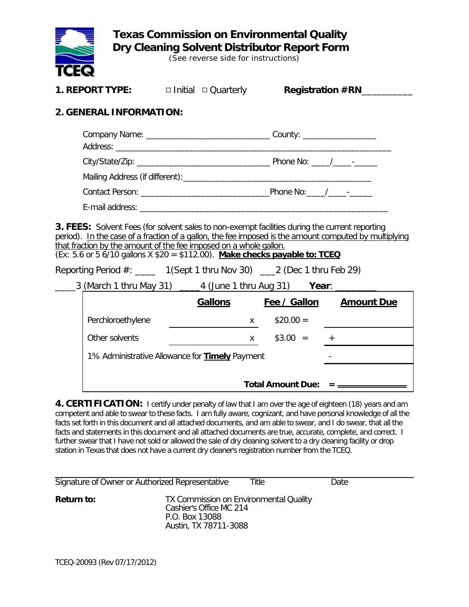

 **Texas Commission on Environmental Quality Dry Cleaning Solvent Distributor Report Form**

(See reverse side for instructions)

| 1. REPORT TYPE:                                                                                                                                                                                                                                                                                                                                                                                                                                                                                                           | $\Box$ Initial $\Box$ Quarterly |              |            | <b>Registration #RN</b>                                       |  |  |  |
|---------------------------------------------------------------------------------------------------------------------------------------------------------------------------------------------------------------------------------------------------------------------------------------------------------------------------------------------------------------------------------------------------------------------------------------------------------------------------------------------------------------------------|---------------------------------|--------------|------------|---------------------------------------------------------------|--|--|--|
| 2. GENERAL INFORMATION:                                                                                                                                                                                                                                                                                                                                                                                                                                                                                                   |                                 |              |            |                                                               |  |  |  |
| Company Name: _________________________________County: _________________________                                                                                                                                                                                                                                                                                                                                                                                                                                          |                                 |              |            |                                                               |  |  |  |
|                                                                                                                                                                                                                                                                                                                                                                                                                                                                                                                           |                                 |              |            |                                                               |  |  |  |
|                                                                                                                                                                                                                                                                                                                                                                                                                                                                                                                           |                                 |              |            |                                                               |  |  |  |
|                                                                                                                                                                                                                                                                                                                                                                                                                                                                                                                           |                                 |              |            |                                                               |  |  |  |
|                                                                                                                                                                                                                                                                                                                                                                                                                                                                                                                           |                                 |              |            |                                                               |  |  |  |
| <b>3. FEES:</b> Solvent Fees (for solvent sales to non-exempt facilities during the current reporting<br>period). In the case of a fraction of a gallon, the fee imposed is the amount computed by multiplying<br>that fraction by the amount of the fee imposed on a whole gallon.<br>(Ex: 5.6 or 5 6/10 gallons X \$20 = \$112.00). Make checks payable to: TCEQ<br>Reporting Period #: _____ 1(Sept 1 thru Nov 30) ____ 2 (Dec 1 thru Feb 29)<br>____3 (March 1 thru May 31) _____4 (June 1 thru Aug 31) Year: _______ |                                 |              |            |                                                               |  |  |  |
|                                                                                                                                                                                                                                                                                                                                                                                                                                                                                                                           |                                 |              |            |                                                               |  |  |  |
|                                                                                                                                                                                                                                                                                                                                                                                                                                                                                                                           |                                 |              |            | Gallons Fee / Gallon Amount Due                               |  |  |  |
| Perchloroethylene                                                                                                                                                                                                                                                                                                                                                                                                                                                                                                         |                                 | $\mathsf{X}$ | $$20.00 =$ |                                                               |  |  |  |
| Other solvents                                                                                                                                                                                                                                                                                                                                                                                                                                                                                                            |                                 |              |            | $x$ \$3.00 = $+$                                              |  |  |  |
| 1% Administrative Allowance for <b>Timely</b> Payment                                                                                                                                                                                                                                                                                                                                                                                                                                                                     |                                 |              |            |                                                               |  |  |  |
|                                                                                                                                                                                                                                                                                                                                                                                                                                                                                                                           |                                 |              |            | Total Amount Due: $=$ $\frac{\phantom{1}}{2\cdot\phantom{1}}$ |  |  |  |

**4. CERTIFICATION:** I certify under penalty of law that I am over the age of eighteen (18) years and am competent and able to swear to these facts. I am fully aware, cognizant, and have personal knowledge of all the facts set forth in this document and all attached documents, and am able to swear, and I do swear, that all the facts and statements in this document and all attached documents are true, accurate, complete, and correct. I further swear that I have not sold or allowed the sale of dry cleaning solvent to a dry cleaning facility or drop station in Texas that does not have a current dry cleaner's registration number from the TCEQ.

| Signature of Owner or Authorized Representative |                                                                                                              | Title | Date |
|-------------------------------------------------|--------------------------------------------------------------------------------------------------------------|-------|------|
| Return to:                                      | TX Commission on Environmental Quality<br>Cashier's Office MC 214<br>P.O. Box 13088<br>Austin, TX 78711-3088 |       |      |